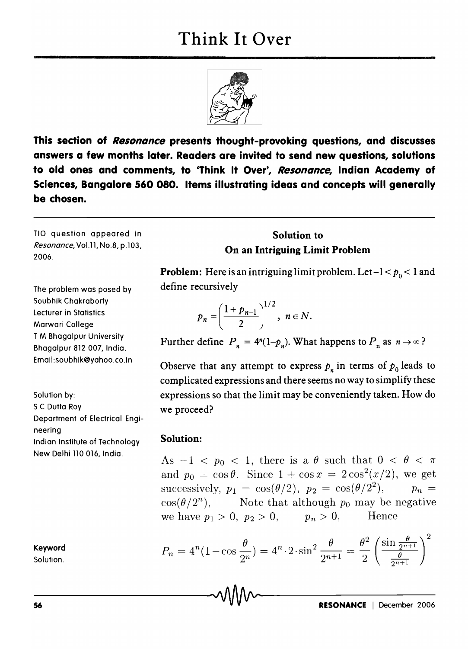

This section of Resonance presents thought-provoking questions, and discusses answers a few months later. Readers are invited to send new questions, solutions to old ones and comments, to 'Think It Over', Resonance, Indian Academy of Sciences, Bangalore 560 080. Items illustrating ideas and concepts will generally be chosen.

TlO question appeared in Resonance, Vo1.l1, No.8, p.103, 2006.

The problem was posed by Soubhik Chakraborty Lecturer in Statistics Marwari College T M Bhagalpur University Bhagalpur 812 007, India. Email:soubhik@yahoo.co.in

Solution by: S C Dutta Roy Department of Electrical Engineering Indian Institute of Technology New Delhi 110 016, India.

Keyword

Solution.

Solution to On an Intriguing Limit Problem

**Problem:** Here is an intriguing limit problem. Let  $-1 < p_0 < 1$  and define recursively

$$
p_n=\left(\frac{1+p_{n-1}}{2}\right)^{1/2},\; n\in\mathbb{N}.
$$

Further define  $P_n = 4^n(1-p_n)$ . What happens to  $P_n$  as  $n \to \infty$ ?

Observe that any attempt to express  $p_n$  in terms of  $p_0$  leads to complicated expressions and there seems no way to simplify these expressions so that the limit may be conveniently taken. How do we proceed?

## Solution:

As  $-1 < p_0 < 1$ , there is a  $\theta$  such that  $0 < \theta < \pi$ and  $p_0 = \cos \theta$ . Since  $1 + \cos x = 2\cos^2(x/2)$ , we get successively,  $p_1 = \cos(\theta/2)$ ,  $p_2 = \cos(\theta/2^2)$ ,  $p_n =$  $\cos(\theta/2^n)$ , Note that although  $p_0$  may be negative we have  $p_1 > 0$ ,  $p_2 > 0$ ,  $p_n > 0$ , Hence

$$
P_n = 4^n (1 - \cos \frac{\theta}{2^n}) = 4^n \cdot 2 \cdot \sin^2 \frac{\theta}{2^{n+1}} = \frac{\theta^2}{2} \left( \frac{\sin \frac{\theta}{2^{n+1}}}{\frac{\theta}{2^{n+1}}} \right)^2
$$